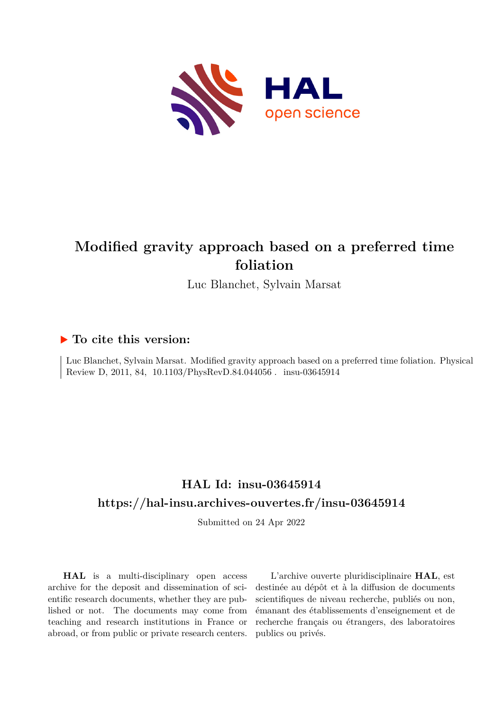

# **Modified gravity approach based on a preferred time foliation**

Luc Blanchet, Sylvain Marsat

## **To cite this version:**

Luc Blanchet, Sylvain Marsat. Modified gravity approach based on a preferred time foliation. Physical Review D, 2011, 84, 10.1103/PhysRevD.84.044056. insu-03645914

## **HAL Id: insu-03645914 <https://hal-insu.archives-ouvertes.fr/insu-03645914>**

Submitted on 24 Apr 2022

**HAL** is a multi-disciplinary open access archive for the deposit and dissemination of scientific research documents, whether they are published or not. The documents may come from teaching and research institutions in France or abroad, or from public or private research centers.

L'archive ouverte pluridisciplinaire **HAL**, est destinée au dépôt et à la diffusion de documents scientifiques de niveau recherche, publiés ou non, émanant des établissements d'enseignement et de recherche français ou étrangers, des laboratoires publics ou privés.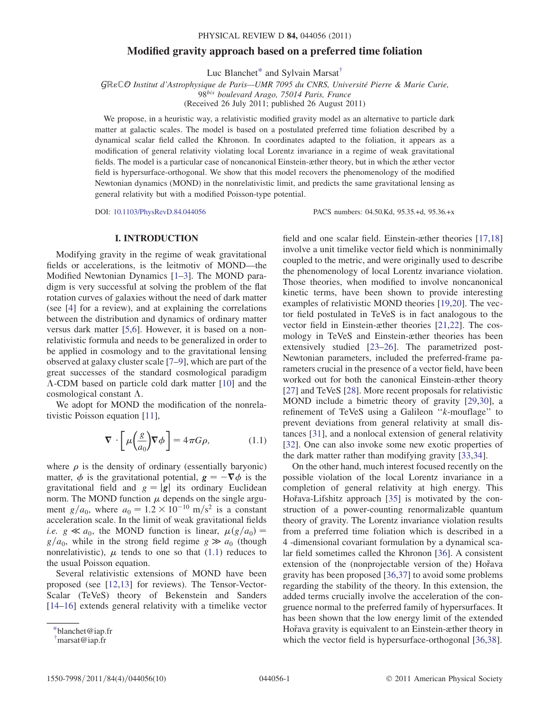### Modified gravity approach based on a preferred time foliation

Luc Blanchet\* and Sylvain Marsat†

GRECO Institut d'Astrophysique de Paris—UMR 7095 du CNRS, Université Pierre & Marie Curie,

98<sup>bis</sup> boulevard Arago, 75014 Paris, France

(Received 26 July 2011; published 26 August 2011)

We propose, in a heuristic way, a relativistic modified gravity model as an alternative to particle dark matter at galactic scales. The model is based on a postulated preferred time foliation described by a dynamical scalar field called the Khronon. In coordinates adapted to the foliation, it appears as a modification of general relativity violating local Lorentz invariance in a regime of weak gravitational fields. The model is a particular case of noncanonical Einstein-æther theory, but in which the æther vector field is hypersurface-orthogonal. We show that this model recovers the phenomenology of the modified Newtonian dynamics (MOND) in the nonrelativistic limit, and predicts the same gravitational lensing as general relativity but with a modified Poisson-type potential.

DOI: [10.1103/PhysRevD.84.044056](http://dx.doi.org/10.1103/PhysRevD.84.044056) PACS numbers: 04.50.Kd, 95.35.+d, 95.36.+x

### I. INTRODUCTION

Modifying gravity in the regime of weak gravitational fields or accelerations, is the leitmotiv of MOND—the Modified Newtonian Dynamics [1–3]. The MOND paradigm is very successful at solving the problem of the flat rotation curves of galaxies without the need of dark matter (see [4] for a review), and at explaining the correlations between the distribution and dynamics of ordinary matter versus dark matter [5,6]. However, it is based on a nonrelativistic formula and needs to be generalized in order to be applied in cosmology and to the gravitational lensing observed at galaxy cluster scale [7–9], which are part of the great successes of the standard cosmological paradigm  $\Lambda$ -CDM based on particle cold dark matter [10] and the cosmological constant  $\Lambda$ .

We adopt for MOND the modification of the nonrelativistic Poisson equation [11],

$$
\nabla \cdot \left[ \mu \left( \frac{g}{a_0} \right) \nabla \phi \right] = 4 \pi G \rho, \tag{1.1}
$$

where  $\rho$  is the density of ordinary (essentially baryonic) matter,  $\phi$  is the gravitational potential,  $g = -\nabla \phi$  is the gravitational field and  $g = |\phi|$  its ordinary Euclidean gravitational field and  $g = |g|$  its ordinary Euclidean norm. The MOND function  $\mu$  depends on the single argument  $g/a_0$ , where  $a_0 = 1.2 \times 10^{-10}$  m/s<sup>2</sup> is a constant acceleration scale. In the limit of weak gravitational fields *i.e.*  $g \ll a_0$ , the MOND function is linear,  $\mu(g/a_0)$  =  $g/a_0$ , while in the strong field regime  $g \gg a_0$  (though nonrelativistic),  $\mu$  tends to one so that (1.1) reduces to the usual Poisson equation.

Several relativistic extensions of MOND have been proposed (see [12,13] for reviews). The Tensor-Vector-Scalar (TeVeS) theory of Bekenstein and Sanders [14–16] extends general relativity with a timelike vector field and one scalar field. Einstein-æther theories [17,18] involve a unit timelike vector field which is nonminimally coupled to the metric, and were originally used to describe the phenomenology of local Lorentz invariance violation. Those theories, when modified to involve noncanonical kinetic terms, have been shown to provide interesting examples of relativistic MOND theories [19,20]. The vector field postulated in TeVeS is in fact analogous to the vector field in Einstein-æther theories [21,22]. The cosmology in TeVeS and Einstein-æther theories has been extensively studied [23–26]. The parametrized post-Newtonian parameters, included the preferred-frame parameters crucial in the presence of a vector field, have been worked out for both the canonical Einstein-æther theory [27] and TeVeS [28]. More recent proposals for relativistic MOND include a bimetric theory of gravity [29,30], a refinement of TeVeS using a Galileon ''k-mouflage'' to prevent deviations from general relativity at small distances [31], and a nonlocal extension of general relativity [32]. One can also invoke some new exotic properties of the dark matter rather than modifying gravity [33,34].

On the other hand, much interest focused recently on the possible violation of the local Lorentz invariance in a completion of general relativity at high energy. This Hořava-Lifshitz approach [35] is motivated by the construction of a power-counting renormalizable quantum theory of gravity. The Lorentz invariance violation results from a preferred time foliation which is described in a 4 -dimensional covariant formulation by a dynamical scalar field sometimes called the Khronon [36]. A consistent extension of the (nonprojectable version of the) Hořava gravity has been proposed [36,37] to avoid some problems regarding the stability of the theory. In this extension, the added terms crucially involve the acceleration of the congruence normal to the preferred family of hypersurfaces. It has been shown that the low energy limit of the extended Hořava gravity is equivalent to an Einstein-æther theory in which the vector field is hypersurface-orthogonal [36,38].

<sup>\*</sup>blanchet@iap.fr

<sup>†</sup> marsat@iap.fr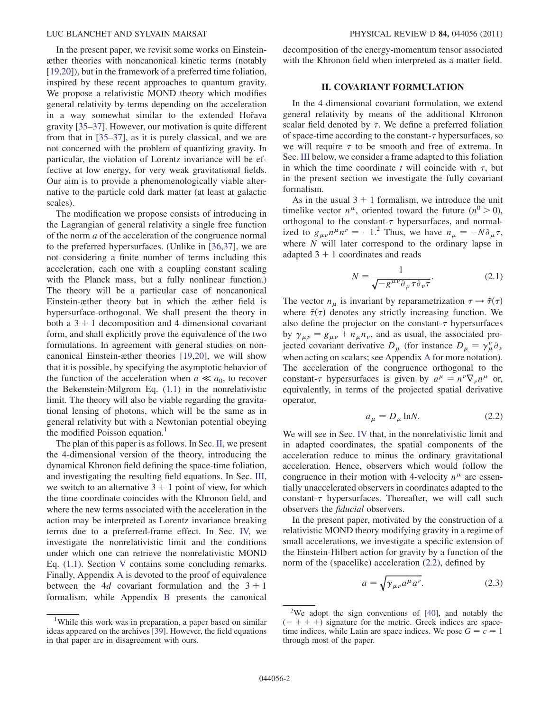In the present paper, we revisit some works on Einsteinæther theories with noncanonical kinetic terms (notably [19,20]), but in the framework of a preferred time foliation, inspired by these recent approaches to quantum gravity. We propose a relativistic MOND theory which modifies general relativity by terms depending on the acceleration in a way somewhat similar to the extended Hor̃ava gravity [35–37]. However, our motivation is quite different from that in [35–37], as it is purely classical, and we are not concerned with the problem of quantizing gravity. In particular, the violation of Lorentz invariance will be effective at low energy, for very weak gravitational fields. Our aim is to provide a phenomenologically viable alternative to the particle cold dark matter (at least at galactic scales).

The modification we propose consists of introducing in the Lagrangian of general relativity a single free function of the norm a of the acceleration of the congruence normal to the preferred hypersurfaces. (Unlike in [36,37], we are not considering a finite number of terms including this acceleration, each one with a coupling constant scaling with the Planck mass, but a fully nonlinear function.) The theory will be a particular case of noncanonical Einstein-æther theory but in which the æther field is hypersurface-orthogonal. We shall present the theory in both a  $3 + 1$  decomposition and 4-dimensional covariant form, and shall explicitly prove the equivalence of the two formulations. In agreement with general studies on noncanonical Einstein-æther theories [19,20], we will show that it is possible, by specifying the asymptotic behavior of the function of the acceleration when  $a \ll a_0$ , to recover the Bekenstein-Milgrom Eq. (1.1) in the nonrelativistic limit. The theory will also be viable regarding the gravitational lensing of photons, which will be the same as in general relativity but with a Newtonian potential obeying the modified Poisson equation.<sup>1</sup>

The plan of this paper is as follows. In Sec. II, we present the 4-dimensional version of the theory, introducing the dynamical Khronon field defining the space-time foliation, and investigating the resulting field equations. In Sec. III, we switch to an alternative  $3 + 1$  point of view, for which the time coordinate coincides with the Khronon field, and where the new terms associated with the acceleration in the action may be interpreted as Lorentz invariance breaking terms due to a preferred-frame effect. In Sec. IV, we investigate the nonrelativistic limit and the conditions under which one can retrieve the nonrelativistic MOND Eq. (1.1). Section V contains some concluding remarks. Finally, Appendix A is devoted to the proof of equivalence between the 4d covariant formulation and the  $3 + 1$ formalism, while Appendix B presents the canonical decomposition of the energy-momentum tensor associated with the Khronon field when interpreted as a matter field.

#### II. COVARIANT FORMULATION

In the 4-dimensional covariant formulation, we extend general relativity by means of the additional Khronon scalar field denoted by  $\tau$ . We define a preferred foliation of space-time according to the constant- $\tau$  hypersurfaces, so we will require  $\tau$  to be smooth and free of extrema. In Sec. III below, we consider a frame adapted to this foliation in which the time coordinate t will coincide with  $\tau$ , but in the present section we investigate the fully covariant formalism.

As in the usual  $3 + 1$  formalism, we introduce the unit timelike vector  $n^{\mu}$ , oriented toward the future  $(n^{0} > 0)$ , orthogonal to the constant- $\tau$  hypersurfaces, and normalized to  $g_{\mu\nu}n^{\mu}n^{\nu} = -1$ .<sup>2</sup> Thus, we have  $n_{\mu} = -N\partial_{\mu}\tau$ , where N will later correspond to the ordinary lapse in adapted  $3 + 1$  coordinates and reads

$$
N = \frac{1}{\sqrt{-g^{\mu\nu}\partial_{\mu}\tau\partial_{\nu}\tau}}.\tag{2.1}
$$

The vector  $n_{\mu}$  is invariant by reparametrization  $\tau \rightarrow \tilde{\tau}(\tau)$ where  $\tilde{\tau}(\tau)$  denotes any strictly increasing function. We also define the projector on the constant- $\tau$  hypersurfaces by  $\gamma_{\mu\nu} = g_{\mu\nu} + n_{\mu}n_{\nu}$ , and as usual, the associated projected covariant derivative  $D_{\mu}$  (for instance  $D_{\mu} = \gamma_{\mu}^{\nu} \partial_{\nu}$ when acting on scalars; see Appendix A for more notation). The acceleration of the congruence orthogonal to the constant- $\tau$  hypersurfaces is given by  $a^{\mu} = n^{\nu} \nabla_{\nu} n^{\mu}$  or, equivalently, in terms of the projected spatial derivative operator,

$$
a_{\mu} = D_{\mu} \ln N. \tag{2.2}
$$

We will see in Sec. IV that, in the nonrelativistic limit and in adapted coordinates, the spatial components of the acceleration reduce to minus the ordinary gravitational acceleration. Hence, observers which would follow the congruence in their motion with 4-velocity  $n^{\mu}$  are essentially unaccelerated observers in coordinates adapted to the constant- $\tau$  hypersurfaces. Thereafter, we will call such observers the fiducial observers.

In the present paper, motivated by the construction of a relativistic MOND theory modifying gravity in a regime of small accelerations, we investigate a specific extension of the Einstein-Hilbert action for gravity by a function of the norm of the (spacelike) acceleration (2.2), defined by

$$
a = \sqrt{\gamma_{\mu\nu} a^{\mu} a^{\nu}}.
$$
 (2.3)

<sup>&</sup>lt;sup>1</sup>While this work was in preparation, a paper based on similar ideas appeared on the archives [39]. However, the field equations in that paper are in disagreement with ours.

<sup>&</sup>lt;sup>2</sup>We adopt the sign conventions of  $[40]$ , and notably the  $(- + + +)$  signature for the metric. Greek indices are spacetime indices, while Latin are space indices. We pose  $G = c = 1$ through most of the paper.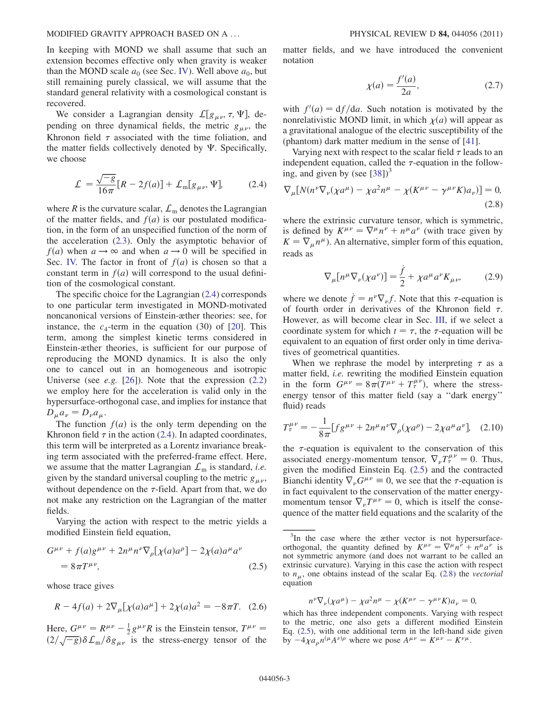#### MODIFIED GRAVITY APPROACH BASED ON A ... PHYSICAL REVIEW D 84, 044056 (2011)

In keeping with MOND we shall assume that such an extension becomes effective only when gravity is weaker than the MOND scale  $a_0$  (see Sec. IV). Well above  $a_0$ , but still remaining purely classical, we will assume that the standard general relativity with a cosmological constant is recovered.

We consider a Lagrangian density  $\mathcal{L}[g_{\mu\nu}, \tau, \Psi]$ , depending on three dynamical fields, the metric  $g_{\mu\nu}$ , the Khronon field  $\tau$  associated with the time foliation, and the matter fields collectively denoted by  $\Psi$ . Specifically, we choose

$$
\mathcal{L} = \frac{\sqrt{-g}}{16\pi} [R - 2f(a)] + \mathcal{L}_{\text{m}}[g_{\mu\nu}, \Psi], \quad (2.4)
$$

where R is the curvature scalar,  $\mathcal{L}_{\text{m}}$  denotes the Lagrangian of the matter fields, and  $f(a)$  is our postulated modification, in the form of an unspecified function of the norm of the acceleration (2.3). Only the asymptotic behavior of  $f(a)$  when  $a \rightarrow \infty$  and when  $a \rightarrow 0$  will be specified in Sec. IV. The factor in front of  $f(a)$  is chosen so that a constant term in  $f(a)$  will correspond to the usual definition of the cosmological constant.

The specific choice for the Lagrangian (2.4) corresponds to one particular term investigated in MOND-motivated noncanonical versions of Einstein-æther theories: see, for instance, the  $c_4$ -term in the equation (30) of [20]. This term, among the simplest kinetic terms considered in Einstein-æther theories, is sufficient for our purpose of reproducing the MOND dynamics. It is also the only one to cancel out in an homogeneous and isotropic Universe (see *e.g.* [26]). Note that the expression  $(2.2)$ we employ here for the acceleration is valid only in the hypersurface-orthogonal case, and implies for instance that  $D_{\mu}a_{\nu} = D_{\nu}a_{\mu}.$ 

The function  $f(a)$  is the only term depending on the Khronon field  $\tau$  in the action (2.4). In adapted coordinates, this term will be interpreted as a Lorentz invariance breaking term associated with the preferred-frame effect. Here, we assume that the matter Lagrangian  $\mathcal{L}_{m}$  is standard, *i.e.* given by the standard universal coupling to the metric  $g_{\mu\nu}$ , without dependence on the  $\tau$ -field. Apart from that, we do not make any restriction on the Lagrangian of the matter fields.

Varying the action with respect to the metric yields a modified Einstein field equation,

$$
G^{\mu\nu} + f(a)g^{\mu\nu} + 2n^{\mu}n^{\nu}\nabla_{\rho}[\chi(a)a^{\rho}] - 2\chi(a)a^{\mu}a^{\nu}
$$
  
=  $8\pi T^{\mu\nu}$ , (2.5)

whose trace gives

$$
R - 4f(a) + 2\nabla_{\mu}[\chi(a)a^{\mu}] + 2\chi(a)a^2 = -8\pi T.
$$
 (2.6)

Here,  $G^{\mu\nu} = R^{\mu\nu} - \frac{1}{2} g^{\mu\nu} R$  is the Einstein tensor,  $T^{\mu\nu} =$  $\frac{2}{\sqrt{-g}}\delta\mathcal{L}_{\rm m}/\delta g_{\mu\nu}$  is the stress-energy tensor of the matter fields, and we have introduced the convenient notation

$$
\chi(a) = \frac{f'(a)}{2a},\tag{2.7}
$$

with  $f'(a) = df/da$ . Such notation is motivated by the nonrelativistic MOND limit, in which  $\chi(a)$  will appear as a gravitational analogue of the electric susceptibility of the (phantom) dark matter medium in the sense of [41].

Varying next with respect to the scalar field  $\tau$  leads to an independent equation, called the  $\tau$ -equation in the following, and given by (see  $[38]$ )<sup>3</sup>

$$
\nabla_{\mu}[N(n^{\nu}\nabla_{\nu}(\chi a^{\mu}) - \chi a^{2}n^{\mu} - \chi(K^{\mu\nu} - \gamma^{\mu\nu}K)a_{\nu})] = 0,
$$
\n(2.8)

where the extrinsic curvature tensor, which is symmetric, is defined by  $K^{\mu\nu} = \nabla^{\mu} n^{\nu} + n^{\mu} a^{\nu}$  (with trace given by  $K = \nabla_{\mu} n^{\mu}$ ). An alternative, simpler form of this equation, reads as

$$
\nabla_{\mu} [n^{\mu} \nabla_{\nu} (\chi a^{\nu})] = \frac{\dot{f}}{2} + \chi a^{\mu} a^{\nu} K_{\mu \nu}, \tag{2.9}
$$

where we denote  $\dot{f} = n^{\nu} \nabla_{\nu} f$ . Note that this  $\tau$ -equation is of fourth order in derivatives of the Khronon field  $\tau$ . However, as will become clear in Sec. III, if we select a coordinate system for which  $t = \tau$ , the  $\tau$ -equation will be equivalent to an equation of first order only in time derivatives of geometrical quantities.

When we rephrase the model by interpreting  $\tau$  as a matter field, i.e. rewriting the modified Einstein equation in the form  $G^{\mu\nu} = 8\pi (T^{\mu\nu} + T^{\mu\nu}_\tau)$ , where the stressenergy tensor of this matter field (say a ''dark energy'' fluid) reads

$$
T_{\tau}^{\mu\nu} = -\frac{1}{8\pi} [f g^{\mu\nu} + 2n^{\mu} n^{\nu} \nabla_{\rho} (\chi a^{\rho}) - 2\chi a^{\mu} a^{\nu}], \quad (2.10)
$$

the  $\tau$ -equation is equivalent to the conservation of this associated energy-momentum tensor,  $\nabla_{\nu} T_{\tau}^{\mu\nu} = 0$ . Thus, given the modified Einstein Eq. (2.5) and the contracted Bianchi identity  $\nabla_{\nu}G^{\mu\nu} \equiv 0$ , we see that the  $\tau$ -equation is in fact equivalent to the conservation of the matter energymomentum tensor  $\nabla_{\nu} T^{\mu\nu} = 0$ , which is itself the consequence of the matter field equations and the scalarity of the

$$
n^{\nu}\nabla_{\nu}(\chi a^{\mu}) - \chi a^2 n^{\mu} - \chi (K^{\mu\nu} - \gamma^{\mu\nu} K) a_{\nu} = 0,
$$

which has three independent components. Varying with respect to the metric, one also gets a different modified Einstein Eq. (2.5), with one additional term in the left-hand side given by  $-4\chi a_{\rho}n^{(\mu}A^{\nu)\rho}$  where we pose  $A^{\mu\nu} = K^{\mu\nu} - K^{\nu\mu}$ .

<sup>&</sup>lt;sup>3</sup>In the case where the æther vector is not hypersurfaceorthogonal, the quantity defined by  $K^{\mu\nu} = \nabla^{\mu} n^{\nu} + n^{\mu} a^{\nu}$  is not symmetric anymore (and does not warrant to be called an extrinsic curvature). Varying in this case the action with respect to  $n_{\mu}$ , one obtains instead of the scalar Eq. (2.8) the vectorial equation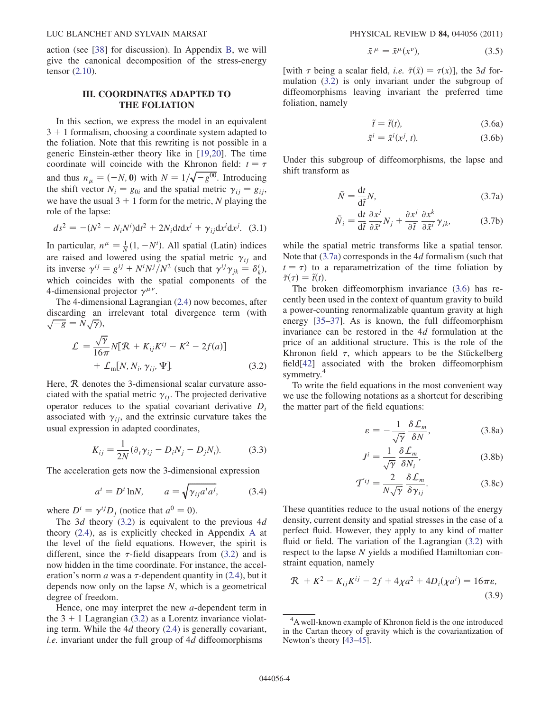action (see [38] for discussion). In Appendix B, we will give the canonical decomposition of the stress-energy tensor (2.10).

### III. COORDINATES ADAPTED TO THE FOLIATION

In this section, we express the model in an equivalent  $3 + 1$  formalism, choosing a coordinate system adapted to the foliation. Note that this rewriting is not possible in a generic Einstein-æther theory like in [19,20]. The time coordinate will coincide with the Khronon field:  $t = \tau$ and thus  $n_{\mu} = (-N, 0)$  with  $N = 1/\sqrt{-g^{00}}$ . Introducing the shift vector  $N_i = g_{0i}$  and the spatial metric  $\gamma_{ij} = g_{ij}$ , we have the usual  $3 + 1$  form for the metric, N playing the role of the lapse:

$$
ds^{2} = -(N^{2} - N_{i}N^{i})dt^{2} + 2N_{i}dtdx^{i} + \gamma_{ij}dx^{i}dx^{j}.
$$
 (3.1)

In particular,  $n^{\mu} = \frac{1}{N}(1, -N^{i})$ . All spatial (Latin) indices are raised and lowered using the spatial metric  $\gamma_{ij}$  and its inverse  $\gamma^{ij} = g^{ij} + N^i N^j / N^2$  (such that  $\gamma^{ij} \gamma_{jk} = \delta^i_k$ ), which coincides with the spatial components of the 4-dimensional projector  $\gamma^{\mu\nu}$ .

The 4-dimensional Lagrangian (2.4) now becomes, after discarding an irrelevant total divergence term (with  $\sqrt{-g} = N \sqrt{\gamma},$ 

$$
\mathcal{L} = \frac{\sqrt{\gamma}}{16\pi} N[\mathcal{R} + K_{ij}K^{ij} - K^2 - 2f(a)]
$$
  
+  $\mathcal{L}_{\text{m}}[N, N_i, \gamma_{ij}, \Psi].$  (3.2)

Here, R denotes the 3-dimensional scalar curvature associated with the spatial metric  $\gamma_{ij}$ . The projected derivative operator reduces to the spatial covariant derivative  $D_i$ associated with  $\gamma_{ij}$ , and the extrinsic curvature takes the usual expression in adapted coordinates,

$$
K_{ij} = \frac{1}{2N} (\partial_t \gamma_{ij} - D_i N_j - D_j N_i).
$$
 (3.3)

The acceleration gets now the 3-dimensional expression

$$
a^i = D^i \ln N, \qquad a = \sqrt{\gamma_{ij} a^i a^j}, \tag{3.4}
$$

where  $D^i = \gamma^{ij}D_i$  (notice that  $a^0 = 0$ ).

The 3d theory  $(3.2)$  is equivalent to the previous 4d theory (2.4), as is explicitly checked in Appendix A at the level of the field equations. However, the spirit is different, since the  $\tau$ -field disappears from (3.2) and is now hidden in the time coordinate. For instance, the acceleration's norm *a* was a  $\tau$ -dependent quantity in (2.4), but it depends now only on the lapse  $N$ , which is a geometrical degree of freedom.

Hence, one may interpret the new a-dependent term in the  $3 + 1$  Lagrangian (3.2) as a Lorentz invariance violating term. While the  $4d$  theory (2.4) is generally covariant, i.e. invariant under the full group of 4d diffeomorphisms

$$
\tilde{x}^{\mu} = \tilde{x}^{\mu}(x^{\nu}), \tag{3.5}
$$

[with  $\tau$  being a scalar field, *i.e.*  $\tilde{\tau}(\tilde{x}) = \tau(x)$ ], the 3*d* formulation (3.2) is only invariant under the subgroup of diffeomorphisms leaving invariant the preferred time foliation, namely

$$
\tilde{t} = \tilde{t}(t),\tag{3.6a}
$$

$$
\tilde{x}^i = \tilde{x}^i(x^j, t). \tag{3.6b}
$$

Under this subgroup of diffeomorphisms, the lapse and shift transform as

$$
\tilde{N} = \frac{\mathrm{d}t}{\mathrm{d}\tilde{t}}N,\tag{3.7a}
$$

$$
\tilde{N}_i = \frac{\mathrm{d}t}{\mathrm{d}\tilde{t}} \frac{\partial x^j}{\partial \tilde{x}^i} N_j + \frac{\partial x^j}{\partial \tilde{t}} \frac{\partial x^k}{\partial \tilde{x}^i} \gamma_{jk},\tag{3.7b}
$$

while the spatial metric transforms like a spatial tensor. Note that (3.7a) corresponds in the 4d formalism (such that  $t = \tau$ ) to a reparametrization of the time foliation by  $\tilde{\tau}(\tau) = \tilde{t}(t).$ 

The broken diffeomorphism invariance (3.6) has recently been used in the context of quantum gravity to build a power-counting renormalizable quantum gravity at high energy [35–37]. As is known, the full diffeomorphism invariance can be restored in the 4d formulation at the price of an additional structure. This is the role of the Khronon field  $\tau$ , which appears to be the Stückelberg field[42] associated with the broken diffeomorphism symmetry.<sup>4</sup>

To write the field equations in the most convenient way we use the following notations as a shortcut for describing the matter part of the field equations:

$$
\varepsilon = -\frac{1}{\sqrt{\gamma}} \frac{\delta \mathcal{L}_m}{\delta N},\tag{3.8a}
$$

$$
J^{i} = \frac{1}{\sqrt{\gamma}} \frac{\delta \mathcal{L}_m}{\delta N_i},
$$
 (3.8b)

$$
\mathcal{T}^{ij} = \frac{2}{N\sqrt{\gamma}} \frac{\delta \mathcal{L}_m}{\delta \gamma_{ij}}.
$$
 (3.8c)

These quantities reduce to the usual notions of the energy density, current density and spatial stresses in the case of a perfect fluid. However, they apply to any kind of matter fluid or field. The variation of the Lagrangian  $(3.2)$  with respect to the lapse N yields a modified Hamiltonian constraint equation, namely

$$
\mathcal{R} + K^2 - K_{ij}K^{ij} - 2f + 4\chi a^2 + 4D_i(\chi a^i) = 16\pi\varepsilon,
$$
\n(3.9)

<sup>&</sup>lt;sup>4</sup>A well-known example of Khronon field is the one introduced in the Cartan theory of gravity which is the covariantization of Newton's theory [43–45].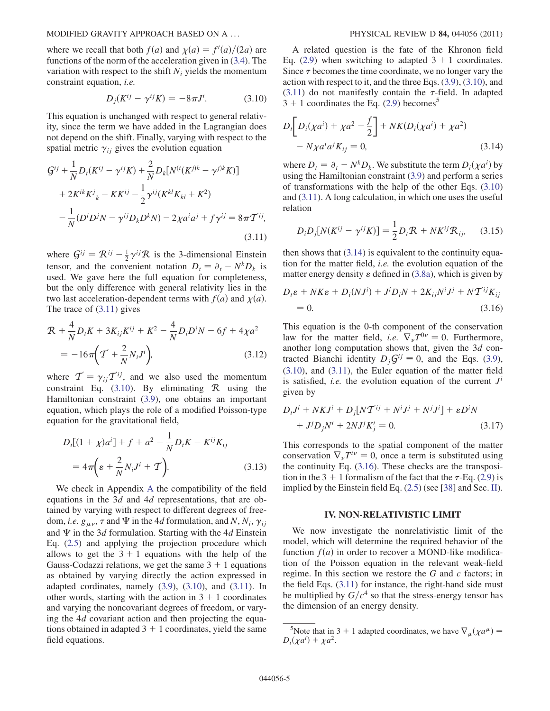where we recall that both  $f(a)$  and  $\chi(a) = f'(a)/(2a)$  are functions of the norm of the acceleration given in (3.4). The variation with respect to the shift  $N_i$  yields the momentum constraint equation, i.e.

$$
D_j(K^{ij} - \gamma^{ij} K) = -8\pi J^i.
$$
 (3.10)

This equation is unchanged with respect to general relativity, since the term we have added in the Lagrangian does not depend on the shift. Finally, varying with respect to the spatial metric  $\gamma_{ij}$  gives the evolution equation

$$
G^{ij} + \frac{1}{N}D_t(K^{ij} - \gamma^{ij}K) + \frac{2}{N}D_k[N^{(i)}(K^{j)k} - \gamma^{j)k}K]
$$
  
+ 2K<sup>ik</sup>K<sup>j</sup><sub>k</sub> - KK<sup>ij</sup> -  $\frac{1}{2}\gamma^{ij}(K^{kl}K_{kl} + K^2)$   
-  $\frac{1}{N}(D^iD^jN - \gamma^{ij}D_kD^kN) - 2\chi a^ia^j + f\gamma^{ij} = 8\pi T^{ij},$   
(3.11)

where  $G^{ij} = \mathcal{R}^{ij} - \frac{1}{2} \gamma^{ij} \mathcal{R}$  is the 3-dimensional Einstein tensor, and the convenient notation  $D_t = \partial_t - N^k D_k$  is used. We gave here the full equation for completeness, but the only difference with general relativity lies in the two last acceleration-dependent terms with  $f(a)$  and  $\chi(a)$ . The trace of (3.11) gives

$$
\mathcal{R} + \frac{4}{N} D_t K + 3K_{ij} K^{ij} + K^2 - \frac{4}{N} D_i D^i N - 6f + 4\chi a^2
$$
  
=  $-16\pi \left( \mathcal{T} + \frac{2}{N} N_i J^i \right),$  (3.12)

where  $\mathcal{T} = \gamma_{ij} \mathcal{T}^{ij}$ , and we also used the momentum constraint Eq.  $(3.10)$ . By eliminating R using the Hamiltonian constraint (3.9), one obtains an important equation, which plays the role of a modified Poisson-type equation for the gravitational field,

$$
D_i[(1+\chi)a^i] + f + a^2 - \frac{1}{N}D_iK - K^{ij}K_{ij}
$$
  
=  $4\pi\left(\varepsilon + \frac{2}{N}N_iJ^i + \mathcal{T}\right).$  (3.13)

We check in Appendix A the compatibility of the field equations in the 3d and 4d representations, that are obtained by varying with respect to different degrees of freedom, *i.e.*  $g_{\mu\nu}$ ,  $\tau$  and  $\Psi$  in the 4*d* formulation, and N, N<sub>i</sub>,  $\gamma_{ij}$ and  $\Psi$  in the 3d formulation. Starting with the 4d Einstein Eq. (2.5) and applying the projection procedure which allows to get the  $3 + 1$  equations with the help of the Gauss-Codazzi relations, we get the same  $3 + 1$  equations as obtained by varying directly the action expressed in adapted cordinates, namely (3.9), (3.10), and (3.11). In other words, starting with the action in  $3 + 1$  coordinates and varying the noncovariant degrees of freedom, or varying the 4d covariant action and then projecting the equations obtained in adapted  $3 + 1$  coordinates, yield the same field equations.

A related question is the fate of the Khronon field Eq. (2.9) when switching to adapted  $3 + 1$  coordinates. Since  $\tau$  becomes the time coordinate, we no longer vary the action with respect to it, and the three Eqs. (3.9), (3.10), and  $(3.11)$  do not manifestly contain the  $\tau$ -field. In adapted  $3 + 1$  coordinates the Eq. (2.9) becomes<sup>5</sup>

$$
D_{i}\left[D_{i}(\chi a^{i}) + \chi a^{2} - \frac{f}{2}\right] + NK(D_{i}(\chi a^{i}) + \chi a^{2})
$$
  
-  $N\chi a^{i} a^{j} K_{ij} = 0,$  (3.14)

where  $D_t = \partial_t - N^k D_k$ . We substitute the term  $D_i(\chi a^i)$  by using the Hamiltonian constraint (3.9) and perform a series of transformations with the help of the other Eqs. (3.10) and (3.11). A long calculation, in which one uses the useful relation

$$
D_i D_j [N(K^{ij} - \gamma^{ij} K)] = \frac{1}{2} D_i \mathcal{R} + N K^{ij} \mathcal{R}_{ij}, \quad (3.15)
$$

then shows that (3.14) is equivalent to the continuity equation for the matter field, i.e. the evolution equation of the matter energy density  $\varepsilon$  defined in (3.8a), which is given by

$$
D_t \varepsilon + NK\varepsilon + D_i (NJ^i) + J^i D_i N + 2K_{ij} N^i J^j + N \mathcal{T}^{ij} K_{ij}
$$
  
= 0. (3.16)

This equation is the 0-th component of the conservation law for the matter field, *i.e.*  $\nabla_{\nu}T^{0\nu} = 0$ . Furthermore, another long computation shows that, given the 3d contracted Bianchi identity  $D_i \mathcal{G}^{ij} \equiv 0$ , and the Eqs. (3.9), (3.10), and (3.11), the Euler equation of the matter field is satisfied, *i.e.* the evolution equation of the current  $J^i$ given by

$$
D_t J^i + N K J^i + D_j [N \mathcal{T}^{ij} + N^i J^j + N^j J^i] + \varepsilon D^i N
$$
  
+  $J^j D_j N^i + 2 N J^j K^i_j = 0.$  (3.17)

This corresponds to the spatial component of the matter conservation  $\nabla_{\nu}T^{i\nu} = 0$ , once a term is substituted using the continuity Eq. (3.16). These checks are the transposition in the 3 + 1 formalism of the fact that the  $\tau$ -Eq. (2.9) is implied by the Einstein field Eq. (2.5) (see [38] and Sec. II).

#### IV. NON-RELATIVISTIC LIMIT

We now investigate the nonrelativistic limit of the model, which will determine the required behavior of the function  $f(a)$  in order to recover a MOND-like modification of the Poisson equation in the relevant weak-field regime. In this section we restore the G and c factors; in the field Eqs. (3.11) for instance, the right-hand side must be multiplied by  $G/c<sup>4</sup>$  so that the stress-energy tensor has the dimension of an energy density.

S Note that in 3 + 1 adapted coordinates, we have  $\nabla_{\mu} (\chi a^{\mu}) =$  $D_i(\chi a^i) + \chi a^2$ .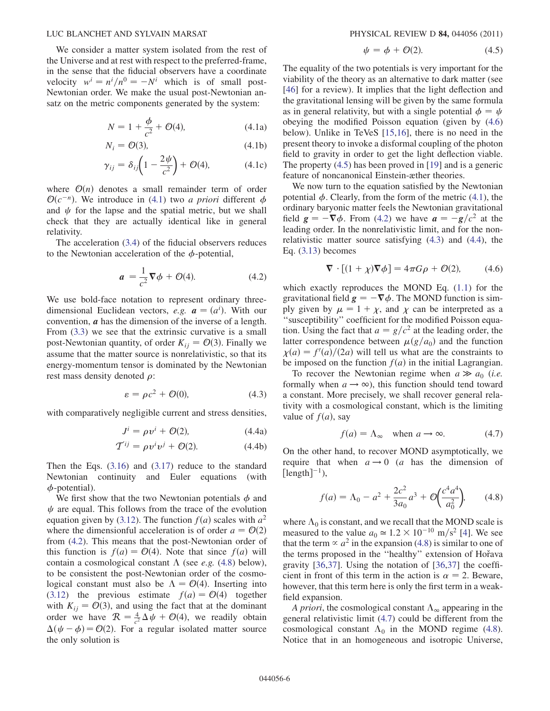We consider a matter system isolated from the rest of the Universe and at rest with respect to the preferred-frame, in the sense that the fiducial observers have a coordinate velocity  $w^i = n^i/n^0 = -N^i$  which is of small post-Newtonian order. We make the usual post-Newtonian ansatz on the metric components generated by the system:

$$
N = 1 + \frac{\phi}{c^2} + \mathcal{O}(4),
$$
 (4.1a)

$$
N_i = \mathcal{O}(3),\tag{4.1b}
$$

$$
\gamma_{ij} = \delta_{ij} \left( 1 - \frac{2\psi}{c^2} \right) + \mathcal{O}(4), \tag{4.1c}
$$

where  $\mathcal{O}(n)$  denotes a small remainder term of order  $\mathcal{O}(c^{-n})$ . We introduce in (4.1) two *a priori* different  $\phi$ and  $\psi$  for the lapse and the spatial metric, but we shall check that they are actually identical like in general relativity.

The acceleration (3.4) of the fiducial observers reduces to the Newtonian acceleration of the  $\phi$ -potential,

$$
a = \frac{1}{c^2} \nabla \phi + \mathcal{O}(4). \tag{4.2}
$$

We use bold-face notation to represent ordinary threedimensional Euclidean vectors, e.g.  $\mathbf{a} = (a^i)$ . With our<br>convention  $\mathbf{a}$  has the dimension of the inverse of a length convention, a has the dimension of the inverse of a length. From (3.3) we see that the extrinsic curvative is a small post-Newtonian quantity, of order  $K_{ij} = \mathcal{O}(3)$ . Finally we assume that the matter source is nonrelativistic, so that its energy-momentum tensor is dominated by the Newtonian rest mass density denoted  $\rho$ :

$$
\varepsilon = \rho c^2 + \mathcal{O}(0),\tag{4.3}
$$

with comparatively negligible current and stress densities,

$$
J^i = \rho v^i + \mathcal{O}(2), \tag{4.4a}
$$

$$
\mathcal{T}^{ij} = \rho v^i v^j + \mathcal{O}(2). \tag{4.4b}
$$

Then the Eqs. (3.16) and (3.17) reduce to the standard Newtonian continuity and Euler equations (with  $\phi$ -potential).

We first show that the two Newtonian potentials  $\phi$  and  $\psi$  are equal. This follows from the trace of the evolution equation given by (3.12). The function  $f(a)$  scales with  $a^2$ where the dimensionful acceleration is of order  $a = \mathcal{O}(2)$ from (4.2). This means that the post-Newtonian order of this function is  $f(a) = \mathcal{O}(4)$ . Note that since  $f(a)$  will contain a cosmological constant  $\Lambda$  (see *e.g.* (4.8) below), to be consistent the post-Newtonian order of the cosmological constant must also be  $\Lambda = \mathcal{O}(4)$ . Inserting into (3.12) the previous estimate  $f(a) = O(4)$  together with  $K_{ij} = \mathcal{O}(3)$ , and using the fact that at the dominant order we have  $\mathcal{R} = \frac{4}{c^2} \Delta \psi + \mathcal{O}(4)$ , we readily obtain  $\Delta(\psi - \phi) = O(2)$ . For a regular isolated matter source the only solution is

$$
\psi = \phi + \mathcal{O}(2). \tag{4.5}
$$

The equality of the two potentials is very important for the viability of the theory as an alternative to dark matter (see [46] for a review). It implies that the light deflection and the gravitational lensing will be given by the same formula as in general relativity, but with a single potential  $\phi = \psi$ obeying the modified Poisson equation (given by (4.6) below). Unlike in TeVeS [15,16], there is no need in the present theory to invoke a disformal coupling of the photon field to gravity in order to get the light deflection viable. The property (4.5) has been proved in [19] and is a generic feature of noncanonical Einstein-æther theories.

We now turn to the equation satisfied by the Newtonian potential  $\phi$ . Clearly, from the form of the metric (4.1), the ordinary baryonic matter feels the Newtonian gravitational field  $g = -\nabla \phi$ . From (4.2) we have  $a = -g/c^2$  at the leading order. In the non-elativistic limit and for the nonleading order. In the nonrelativistic limit, and for the nonrelativistic matter source satisfying (4.3) and (4.4), the Eq. (3.13) becomes

$$
\nabla \cdot [(1+\chi)\nabla \phi] = 4\pi G\rho + \mathcal{O}(2), \quad (4.6)
$$

which exactly reproduces the MOND Eq. (1.1) for the gravitational field  $g = -\nabla \phi$ . The MOND function is sim-<br>nly given by  $\mu = 1 + \gamma$  and  $\gamma$  can be interpreted as a ply given by  $\mu = 1 + \chi$ , and  $\chi$  can be interpreted as a ''susceptibility'' coefficient for the modified Poisson equation. Using the fact that  $a = g/c^2$  at the leading order, the latter correspondence between  $\mu(g/a_0)$  and the function  $\chi(a) = f'(a)/(2a)$  will tell us what are the constraints to be imposed on the function  $f(a)$  in the initial Lagrangian.

To recover the Newtonian regime when  $a \gg a_0$  (*i.e.*) formally when  $a \rightarrow \infty$ ), this function should tend toward a constant. More precisely, we shall recover general relativity with a cosmological constant, which is the limiting value of  $f(a)$ , say

$$
f(a) = \Lambda_{\infty} \quad \text{when } a \to \infty. \tag{4.7}
$$

On the other hand, to recover MOND asymptotically, we require that when  $a \rightarrow 0$  (a has the dimension of  $\left[\text{length}\right]^{-1}$ ),

$$
f(a) = \Lambda_0 - a^2 + \frac{2c^2}{3a_0}a^3 + \mathcal{O}\left(\frac{c^4a^4}{a_0^2}\right), \quad (4.8)
$$

where  $\Lambda_0$  is constant, and we recall that the MOND scale is measured to the value  $a_0 \approx 1.2 \times 10^{-10}$  m/s<sup>2</sup> [4]. We see that the term  $\propto a^2$  in the expansion (4.8) is similar to one of the terms proposed in the "healthy" extension of Hořava gravity [36,37]. Using the notation of [36,37] the coefficient in front of this term in the action is  $\alpha = 2$ . Beware, however, that this term here is only the first term in a weakfield expansion.

A priori, the cosmological constant  $\Lambda_{\infty}$  appearing in the general relativistic limit (4.7) could be different from the cosmological constant  $\Lambda_0$  in the MOND regime (4.8). Notice that in an homogeneous and isotropic Universe,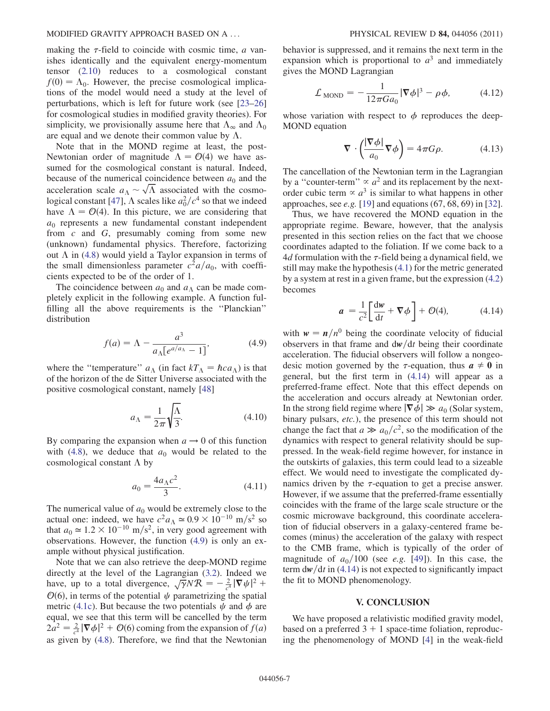making the  $\tau$ -field to coincide with cosmic time,  $\alpha$  vanishes identically and the equivalent energy-momentum tensor (2.10) reduces to a cosmological constant  $f(0) = \Lambda_0$ . However, the precise cosmological implications of the model would need a study at the level of perturbations, which is left for future work (see [23–26] for cosmological studies in modified gravity theories). For simplicity, we provisionally assume here that  $\Lambda_{\infty}$  and  $\Lambda_{0}$ are equal and we denote their common value by  $\Lambda$ .

Note that in the MOND regime at least, the post-Newtonian order of magnitude  $\Lambda = \mathcal{O}(4)$  we have assumed for the cosmological constant is natural. Indeed, because of the numerical coincidence between  $a_0$  and the acceleration scale  $a_{\Lambda} \sim \sqrt{\Lambda}$  associated with the cosmological constant [47],  $\Lambda$  scales like  $a_0^2/c^4$  so that we indeed have  $\Lambda = \mathcal{O}(4)$ . In this picture, we are considering that  $a_0$  represents a new fundamental constant independent from c and G, presumably coming from some new (unknown) fundamental physics. Therefore, factorizing out  $\Lambda$  in (4.8) would yield a Taylor expansion in terms of the small dimensionless parameter  $c^2a/a_0$ , with coefficients expected to be of the order of 1.

The coincidence between  $a_0$  and  $a_\Lambda$  can be made completely explicit in the following example. A function fulfilling all the above requirements is the ''Planckian'' distribution

$$
f(a) = \Lambda - \frac{a^3}{a_{\Lambda}[e^{a/a_{\Lambda}} - 1]},
$$
\n(4.9)

where the "temperature"  $a_{\Lambda}$  (in fact  $kT_{\Lambda} = \hbar c a_{\Lambda}$ ) is that of the horizon of the de Sitter Universe associated with the positive cosmological constant, namely [48]

$$
a_{\Lambda} = \frac{1}{2\pi} \sqrt{\frac{\Lambda}{3}}.
$$
\n(4.10)

By comparing the expansion when  $a \rightarrow 0$  of this function with (4.8), we deduce that  $a_0$  would be related to the cosmological constant  $\Lambda$  by

$$
a_0 = \frac{4a_\Lambda c^2}{3}.
$$
 (4.11)

The numerical value of  $a_0$  would be extremely close to the actual one: indeed, we have  $c^2 a_\Lambda \simeq 0.9 \times 10^{-10}$  m/s<sup>2</sup> so that  $a_0 \approx 1.2 \times 10^{-10}$  m/s<sup>2</sup>, in very good agreement with observations. However, the function (4.9) is only an example without physical justification.

Note that we can also retrieve the deep-MOND regime directly at the level of the Lagrangian (3.2). Indeed we have, up to a total divergence,  $\sqrt{\gamma} N \mathcal{R} = -\frac{2}{c^4} |\nabla \psi|^2 +$  $\mathcal{O}(6)$ , in terms of the potential  $\psi$  parametrizing the spatial metric (4.1c). But because the two potentials  $\psi$  and  $\phi$  are equal, we see that this term will be cancelled by the term  $2a^2 = \frac{2}{c^4} |\nabla \phi|^2 + \mathcal{O}(6)$  coming from the expansion of  $f(a)$ as given by (4.8). Therefore, we find that the Newtonian behavior is suppressed, and it remains the next term in the expansion which is proportional to  $a<sup>3</sup>$  and immediately gives the MOND Lagrangian

$$
\mathcal{L}_{\text{MOND}} = -\frac{1}{12\pi G a_0} |\nabla \phi|^3 - \rho \phi, \qquad (4.12)
$$

whose variation with respect to  $\phi$  reproduces the deep-MOND equation

$$
\nabla \cdot \left(\frac{|\nabla \phi|}{a_0} \nabla \phi\right) = 4\pi G \rho. \tag{4.13}
$$

The cancellation of the Newtonian term in the Lagrangian by a "counter-term"  $\propto a^2$  and its replacement by the nextorder cubic term  $\propto a^3$  is similar to what happens in other approaches, see *e.g.* [19] and equations  $(67, 68, 69)$  in [32].

Thus, we have recovered the MOND equation in the appropriate regime. Beware, however, that the analysis presented in this section relies on the fact that we choose coordinates adapted to the foliation. If we come back to a 4d formulation with the  $\tau$ -field being a dynamical field, we still may make the hypothesis (4.1) for the metric generated by a system at rest in a given frame, but the expression (4.2) becomes

$$
a = \frac{1}{c^2} \left[ \frac{\mathrm{d}w}{\mathrm{d}t} + \nabla \phi \right] + \mathcal{O}(4), \tag{4.14}
$$

with  $w = n/n^0$  being the coordinate velocity of fiducial observers in that frame and  $dw/dt$  being their coordinate acceleration. The fiducial observers will follow a nongeodesic motion governed by the  $\tau$ -equation, thus  $a \neq 0$  in general, but the first term in (4.14) will appear as a preferred-frame effect. Note that this effect depends on the acceleration and occurs already at Newtonian order. In the strong field regime where  $|\nabla \phi| \gg a_0$  (Solar system, binary pulsars, etc.), the presence of this term should not change the fact that  $a \gg a_0/c^2$ , so the modification of the dynamics with respect to general relativity should be suppressed. In the weak-field regime however, for instance in the outskirts of galaxies, this term could lead to a sizeable effect. We would need to investigate the complicated dynamics driven by the  $\tau$ -equation to get a precise answer. However, if we assume that the preferred-frame essentially coincides with the frame of the large scale structure or the cosmic microwave background, this coordinate acceleration of fiducial observers in a galaxy-centered frame becomes (minus) the acceleration of the galaxy with respect to the CMB frame, which is typically of the order of magnitude of  $a_0/100$  (see e.g. [49]). In this case, the term  $dw/dt$  in (4.14) is not expected to significantly impact the fit to MOND phenomenology.

#### V. CONCLUSION

We have proposed a relativistic modified gravity model, based on a preferred  $3 + 1$  space-time foliation, reproducing the phenomenology of MOND [4] in the weak-field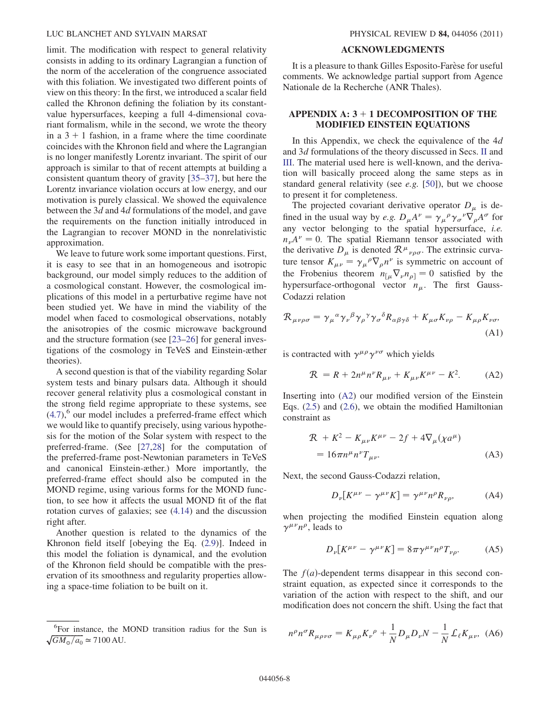limit. The modification with respect to general relativity consists in adding to its ordinary Lagrangian a function of the norm of the acceleration of the congruence associated with this foliation. We investigated two different points of view on this theory: In the first, we introduced a scalar field called the Khronon defining the foliation by its constantvalue hypersurfaces, keeping a full 4-dimensional covariant formalism, while in the second, we wrote the theory in a  $3 + 1$  fashion, in a frame where the time coordinate coincides with the Khronon field and where the Lagrangian is no longer manifestly Lorentz invariant. The spirit of our approach is similar to that of recent attempts at building a consistent quantum theory of gravity [35–37], but here the Lorentz invariance violation occurs at low energy, and our motivation is purely classical. We showed the equivalence between the 3d and 4d formulations of the model, and gave the requirements on the function initially introduced in the Lagrangian to recover MOND in the nonrelativistic approximation.

We leave to future work some important questions. First, it is easy to see that in an homogeneous and isotropic background, our model simply reduces to the addition of a cosmological constant. However, the cosmological implications of this model in a perturbative regime have not been studied yet. We have in mind the viability of the model when faced to cosmological observations, notably the anisotropies of the cosmic microwave background and the structure formation (see [23–26] for general investigations of the cosmology in TeVeS and Einstein-æther theories).

A second question is that of the viability regarding Solar system tests and binary pulsars data. Although it should recover general relativity plus a cosmological constant in the strong field regime appropriate to these systems, see  $(4.7)$ ,<sup>6</sup> our model includes a preferred-frame effect which we would like to quantify precisely, using various hypothesis for the motion of the Solar system with respect to the preferred-frame. (See [27,28] for the computation of the preferred-frame post-Newtonian parameters in TeVeS and canonical Einstein-æther.) More importantly, the preferred-frame effect should also be computed in the MOND regime, using various forms for the MOND function, to see how it affects the usual MOND fit of the flat rotation curves of galaxies; see (4.14) and the discussion right after.

Another question is related to the dynamics of the Khronon field itself [obeying the Eq. (2.9)]. Indeed in this model the foliation is dynamical, and the evolution of the Khronon field should be compatible with the preservation of its smoothness and regularity properties allowing a space-time foliation to be built on it.

#### ACKNOWLEDGMENTS

It is a pleasure to thank Gilles Esposito-Farese for useful comments. We acknowledge partial support from Agence Nationale de la Recherche (ANR Thales).

#### APPENDIX  $A: 3 + 1$  DECOMPOSITION OF THE MODIFIED EINSTEIN EQUATIONS

In this Appendix, we check the equivalence of the  $4d$ and 3d formulations of the theory discussed in Secs. II and III. The material used here is well-known, and the derivation will basically proceed along the same steps as in standard general relativity (see e.g. [50]), but we choose to present it for completeness.

The projected covariant derivative operator  $D_{\mu}$  is defined in the usual way by *e.g.*  $D_{\mu}A^{\nu} = \gamma_{\mu}{}^{\rho} \gamma_{\sigma}{}^{\nu} \nabla_{\rho} A^{\sigma}$  for any vector belonging to the spatial hypersurface, i.e.  $n_{\nu}A^{\nu} = 0$ . The spatial Riemann tensor associated with the derivative  $D_{\mu}$  is denoted  $\mathcal{R}^{\mu}{}_{\nu\rho\sigma}$ . The extrinsic curvature tensor  $K_{\mu\nu} = \gamma_{\mu}{}^{\rho} \nabla_{\rho} n^{\nu}$  is symmetric on account of the Frobenius theorem  $n_{\lceil \mu} \nabla_{\nu} n_{\rho} = 0$  satisfied by the hypersurface-orthogonal vector  $n_{\mu}$ . The first Gauss-Codazzi relation

$$
\mathcal{R}_{\mu\nu\rho\sigma} = \gamma_{\mu}{}^{\alpha} \gamma_{\nu}{}^{\beta} \gamma_{\rho}{}^{\gamma} \gamma_{\sigma}{}^{\delta} R_{\alpha\beta\gamma\delta} + K_{\mu\sigma} K_{\nu\rho} - K_{\mu\rho} K_{\nu\sigma},
$$
\n(A1)

is contracted with  $\gamma^{\mu\rho}\gamma^{\nu\sigma}$  which yields

$$
R = R + 2n^{\mu}n^{\nu}R_{\mu\nu} + K_{\mu\nu}K^{\mu\nu} - K^{2}.
$$
 (A2)

Inserting into (A2) our modified version of the Einstein Eqs. (2.5) and (2.6), we obtain the modified Hamiltonian constraint as

$$
\mathcal{R} + K^2 - K_{\mu\nu} K^{\mu\nu} - 2f + 4 \nabla_{\mu} (\chi a^{\mu})
$$
  
=  $16 \pi n^{\mu} n^{\nu} T_{\mu\nu}.$  (A3)

Next, the second Gauss-Codazzi relation,

$$
D_{\nu}[K^{\mu\nu} - \gamma^{\mu\nu}K] = \gamma^{\mu\nu}n^{\rho}R_{\nu\rho}, \tag{A4}
$$

when projecting the modified Einstein equation along  $\gamma^{\mu\nu}n^{\rho}$ , leads to

$$
D_{\nu}[K^{\mu\nu} - \gamma^{\mu\nu}K] = 8\pi\gamma^{\mu\nu}n^{\rho}T_{\nu\rho}.
$$
 (A5)

The  $f(a)$ -dependent terms disappear in this second constraint equation, as expected since it corresponds to the variation of the action with respect to the shift, and our modification does not concern the shift. Using the fact that

$$
\frac{1}{6} \frac{1}{GM_0/a_0} = \frac{1}{2} \frac{1}{N} D_\mu D_\nu N - \frac{1}{N} \mathcal{L}_\ell K_{\mu\nu}, \quad \text{(A6)}
$$
\n
$$
n^\rho n^\sigma R_{\mu\rho\nu\sigma} = K_{\mu\rho} K_\nu{}^\rho + \frac{1}{N} D_\mu D_\nu N - \frac{1}{N} \mathcal{L}_\ell K_{\mu\nu}, \quad \text{(A6)}
$$

 $\sqrt{GM_{\odot}/a_0} \simeq 7100 \,\mathrm{AU}.$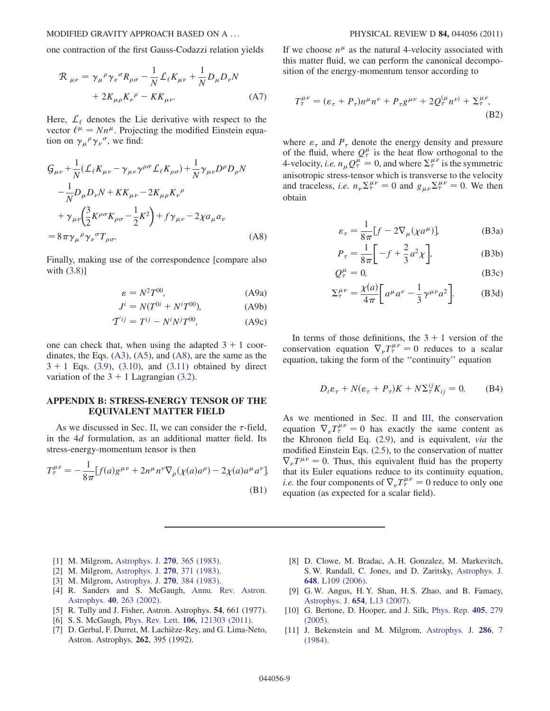one contraction of the first Gauss-Codazzi relation yields

$$
\mathcal{R}_{\mu\nu} = \gamma_{\mu}{}^{\rho} \gamma_{\nu}{}^{\sigma} R_{\rho\sigma} - \frac{1}{N} \mathcal{L}_{\ell} K_{\mu\nu} + \frac{1}{N} D_{\mu} D_{\nu} N
$$

$$
+ 2K_{\mu\rho} K_{\nu}{}^{\rho} - K K_{\mu\nu}.
$$
 (A7)

Here,  $\mathcal{L}_{\ell}$  denotes the Lie derivative with respect to the vector  $\ell^{\mu} = N n^{\mu}$ . Projecting the modified Einstein equation on  $\gamma_\mu{}^\rho \gamma_\nu{}^\sigma$ , we find:

$$
G_{\mu\nu} + \frac{1}{N} (\mathcal{L}_{\ell} K_{\mu\nu} - \gamma_{\mu\nu} \gamma^{\rho\sigma} \mathcal{L}_{\ell} K_{\rho\sigma}) + \frac{1}{N} \gamma_{\mu\nu} D^{\rho} D_{\rho} N - \frac{1}{N} D_{\mu} D_{\nu} N + K K_{\mu\nu} - 2K_{\mu\rho} K_{\nu}{}^{\rho} + \gamma_{\mu\nu} \left( \frac{3}{2} K^{\rho\sigma} K_{\rho\sigma} - \frac{1}{2} K^2 \right) + f \gamma_{\mu\nu} - 2 \chi a_{\mu} a_{\nu} = 8 \pi \gamma_{\mu}{}^{\rho} \gamma_{\nu}{}^{\sigma} T_{\rho\sigma}.
$$
 (A8)

Finally, making use of the correspondence [compare also with (3.8)]

$$
\varepsilon = N^2 T^{00},\tag{A9a}
$$

$$
J^{i} = N(T^{0i} + N^{i}T^{00}),
$$
 (A9b)

$$
\mathcal{T}^{ij} = T^{ij} - N^i N^j T^{00}, \tag{A9c}
$$

one can check that, when using the adapted  $3 + 1$  coordinates, the Eqs. (A3), (A5), and (A8), are the same as the  $3 + 1$  Eqs. (3.9), (3.10), and (3.11) obtained by direct variation of the  $3 + 1$  Lagrangian (3.2).

#### APPENDIX B: STRESS-ENERGY TENSOR OF THE EQUIVALENT MATTER FIELD

As we discussed in Sec. II, we can consider the  $\tau$ -field, in the 4d formulation, as an additional matter field. Its stress-energy-momentum tensor is then

$$
T_{\tau}^{\mu\nu} = -\frac{1}{8\pi} [f(a)g^{\mu\nu} + 2n^{\mu}n^{\nu}\nabla_{\rho}(\chi(a)a^{\rho}) - 2\chi(a)a^{\mu}a^{\nu}].
$$
\n(B1)

If we choose  $n^{\mu}$  as the natural 4-velocity associated with this matter fluid, we can perform the canonical decomposition of the energy-momentum tensor according to

$$
T_{\tau}^{\mu\nu} = (\varepsilon_{\tau} + P_{\tau})n^{\mu}n^{\nu} + P_{\tau}g^{\mu\nu} + 2Q_{\tau}^{(\mu}n^{\nu)} + \Sigma_{\tau}^{\mu\nu},
$$
\n(B2)

where  $\varepsilon_{\tau}$  and  $P_{\tau}$  denote the energy density and pressure of the fluid, where  $Q_{\tau}^{\mu}$  is the heat flow orthogonal to the 4-velocity, *i.e.*  $n_{\mu} Q^{\mu}_{\tau} = 0$ , and where  $\sum_{\tau}^{\mu \nu}$  is the symmetric anisotropic stress-tensor which is transverse to the velocity and traceless, *i.e.*  $n_{\nu} \Sigma_{\tau}^{\mu \nu} = 0$  and  $g_{\mu \nu} \Sigma_{\tau}^{\mu \nu} = 0$ . We then obtain

$$
\varepsilon_{\tau} = \frac{1}{8\pi} [f - 2\nabla_{\mu} (\chi a^{\mu})],
$$
 (B3a)

$$
P_{\tau} = \frac{1}{8\pi} \left[ -f + \frac{2}{3} a^2 \chi \right],
$$
 (B3b)

$$
Q_{\tau}^{\mu} = 0, \tag{B3c}
$$

$$
\Sigma_{\tau}^{\mu\nu} = \frac{\chi(a)}{4\pi} \bigg[ a^{\mu} a^{\nu} - \frac{1}{3} \gamma^{\mu\nu} a^2 \bigg].
$$
 (B3d)

In terms of those definitions, the  $3 + 1$  version of the conservation equation  $\nabla_{\nu} T_{\tau}^{\mu\nu} = 0$  reduces to a scalar equation, taking the form of the ''continuity'' equation

$$
D_t \varepsilon_\tau + N(\varepsilon_\tau + P_\tau)K + N\Sigma_\tau^{ij} K_{ij} = 0.
$$
 (B4)

As we mentioned in Sec. II and III, the conservation equation  $\nabla_{\nu} T_{\tau}^{\mu\nu} = 0$  has exactly the same content as the Khronon field Eq. (2.9), and is equivalent, via the modified Einstein Eqs. (2.5), to the conservation of matter  $\nabla_{\nu}T^{\mu\nu} = 0$ . Thus, this equivalent fluid has the property that its Euler equations reduce to its continuity equation, *i.e.* the four components of  $\nabla_{\nu} T^{\mu\nu}_{\tau} = 0$  reduce to only one equation (as expected for a scalar field).

- [1] M. Milgrom, [Astrophys. J.](http://dx.doi.org/10.1086/161130) **270**, 365 (1983).
- [2] M. Milgrom, [Astrophys. J.](http://dx.doi.org/10.1086/161131) **270**, 371 (1983).
- [3] M. Milgrom, [Astrophys. J.](http://dx.doi.org/10.1086/161132) **270**, 384 (1983).
- [4] R. Sanders and S. McGaugh, [Annu. Rev. Astron.](http://dx.doi.org/10.1146/annurev.astro.40.060401.093923) Astrophys. 40[, 263 \(2002\)](http://dx.doi.org/10.1146/annurev.astro.40.060401.093923).
- [5] R. Tully and J. Fisher, Astron. Astrophys. 54, 661 (1977).
- [6] S. S. McGaugh, Phys. Rev. Lett. 106[, 121303 \(2011\).](http://dx.doi.org/10.1103/PhysRevLett.106.121303)
- [7] D. Gerbal, F. Durret, M. Lachièze-Rey, and G. Lima-Neto, Astron. Astrophys. 262, 395 (1992).
- [8] D. Clowe, M. Bradac, A. H. Gonzalez, M. Markevitch, S. W. Randall, C. Jones, and D. Zaritsky, [Astrophys. J.](http://dx.doi.org/10.1086/508162) 648[, L109 \(2006\).](http://dx.doi.org/10.1086/508162)
- [9] G. W. Angus, H. Y. Shan, H. S. Zhao, and B. Famaey, [Astrophys. J.](http://dx.doi.org/10.1086/510738) 654, L13 (2007).
- [10] G. Bertone, D. Hooper, and J. Silk, [Phys. Rep.](http://dx.doi.org/10.1016/j.physrep.2004.08.031) 405, 279 [\(2005\)](http://dx.doi.org/10.1016/j.physrep.2004.08.031).
- [11] J. Bekenstein and M. Milgrom, [Astrophys. J.](http://dx.doi.org/10.1086/162570) 286, 7 [\(1984\)](http://dx.doi.org/10.1086/162570).